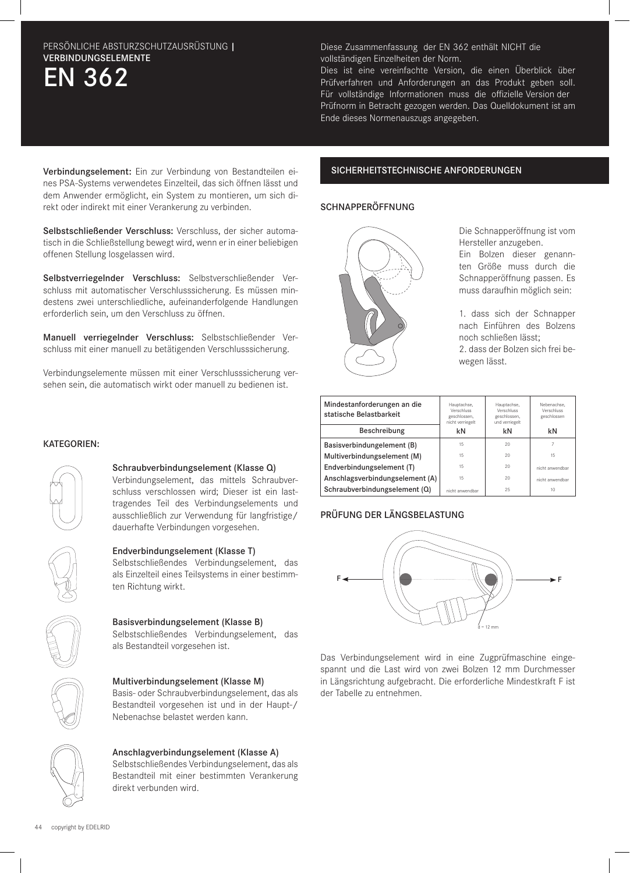# EN 362 PERSÖNLICHE ABSTURZSCHUTZAUSRÜSTUNG | VERBINDUNGSELEMENTE

Diese Zusammenfassung der EN 362 enthält NICHT die vollständigen Einzelheiten der Norm.

Dies ist eine vereinfachte Version, die einen Überblick über Prüfverfahren und Anforderungen an das Produkt geben soll. Für vollständige Informationen muss die offizielle Version der Prüfnorm in Betracht gezogen werden. Das Quelldokument ist am Ende dieses Normenauszugs angegeben.

Verbindungselement: Ein zur Verbindung von Bestandteilen eines PSA-Systems verwendetes Einzelteil, das sich öffnen lässt und dem Anwender ermöglicht, ein System zu montieren, um sich direkt oder indirekt mit einer Verankerung zu verbinden.

Selbstschließender Verschluss: Verschluss, der sicher automatisch in die Schließstellung bewegt wird, wenn er in einer beliebigen offenen Stellung losgelassen wird.

Selbstverriegelnder Verschluss: Selbstverschließender Verschluss mit automatischer Verschlusssicherung. Es müssen mindestens zwei unterschliedliche, aufeinanderfolgende Handlungen erforderlich sein, um den Verschluss zu öffnen.

Manuell verriegelnder Verschluss: Selbstschließender Verschluss mit einer manuell zu betätigenden Verschlusssicherung.

Verbindungselemente müssen mit einer Verschlusssicherung versehen sein, die automatisch wirkt oder manuell zu bedienen ist.

### SICHERHEITSTECHNISCHE ANFORDERUNGEN

#### SCHNAPPERÖFFNUNG



Die Schnapperöffnung ist vom Hersteller anzugeben.

Ein Bolzen dieser genannten Größe muss durch die Schnapperöffnung passen. Es muss daraufhin möglich sein:

1. dass sich der Schnapper nach Einführen des Bolzens noch schließen lässt; 2. dass der Bolzen sich frei bewegen lässt.

| Mindestanforderungen an die<br>statische Belastbarkeit | Hauptachse,<br>Verschluss<br>geschlossen,<br>nicht verriegelt | Hauptachse,<br>Verschluss<br>geschlossen,<br>und verriegelt | Nebenachse.<br>Verschluss<br>geschlossen |
|--------------------------------------------------------|---------------------------------------------------------------|-------------------------------------------------------------|------------------------------------------|
| Beschreibung                                           | kN                                                            | kN                                                          | kN                                       |
| Basisverbindungelement (B)                             | 15                                                            | 20                                                          |                                          |
| Multiverbindungselement (M)                            | 15                                                            | 20                                                          | 15                                       |
| Endverbindungselement (T)                              | 15                                                            | 20                                                          | nicht anwendbar                          |
| Anschlagsverbindungselement (A)                        | 15                                                            | 20                                                          | nicht anwendbar                          |
| Schraubverbindungselement (Q)                          | nicht anwendbar                                               | 25                                                          | 10                                       |

#### PRÜFUNG DER LÄNGSBELASTUNG



Das Verbindungselement wird in eine Zugprüfmaschine eingespannt und die Last wird von zwei Bolzen 12 mm Durchmesser in Längsrichtung aufgebracht. Die erforderliche Mindestkraft F ist der Tabelle zu entnehmen.

#### KATEGORIEN:



#### Schraubverbindungselement (Klasse Q)

Verbindungselement, das mittels Schraubverschluss verschlossen wird; Dieser ist ein lasttragendes Teil des Verbindungselements und ausschließlich zur Verwendung für langfristige/ dauerhafte Verbindungen vorgesehen.



#### Endverbindungselement (Klasse T)

Selbstschließendes Verbindungselement, das als Einzelteil eines Teilsystems in einer bestimmten Richtung wirkt.



#### Basisverbindungselement (Klasse B)

Selbstschließendes Verbindungselement, das als Bestandteil vorgesehen ist.



#### Multiverbindungselement (Klasse M)

Basis- oder Schraubverbindungselement, das als Bestandteil vorgesehen ist und in der Haupt-/ Nebenachse belastet werden kann.



## Anschlagverbindungselement (Klasse A)

Selbstschließendes Verbindungselement, das als Bestandteil mit einer bestimmten Verankerung direkt verbunden wird.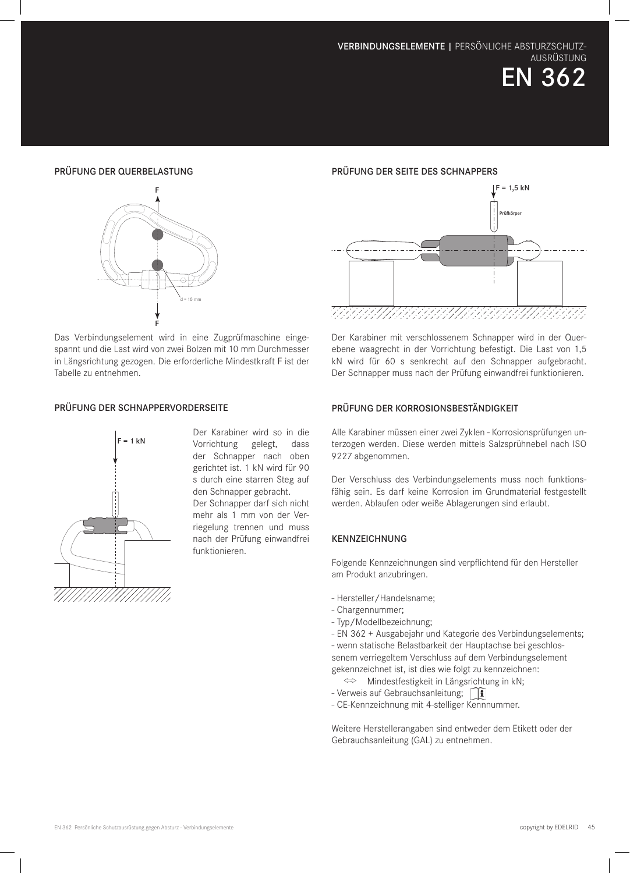EN 362

#### PRÜFUNG DER QUERBELASTUNG



Das Verbindungselement wird in eine Zugprüfmaschine eingespannt und die Last wird von zwei Bolzen mit 10 mm Durchmesser in Längsrichtung gezogen. Die erforderliche Mindestkraft F ist der Tabelle zu entnehmen.

#### PRÜFUNG DER SCHNAPPERVORDERSEITE



Der Karabiner wird so in die Vorrichtung gelegt, dass der Schnapper nach oben gerichtet ist. 1 kN wird für 90 s durch eine starren Steg auf den Schnapper gebracht. Der Schnapper darf sich nicht mehr als 1 mm von der Verriegelung trennen und muss nach der Prüfung einwandfrei funktionieren.

#### PRÜFUNG DER SEITE DES SCHNAPPERS



Der Karabiner mit verschlossenem Schnapper wird in der Querebene waagrecht in der Vorrichtung befestigt. Die Last von 1,5 kN wird für 60 s senkrecht auf den Schnapper aufgebracht. Der Schnapper muss nach der Prüfung einwandfrei funktionieren.

#### PRÜFUNG DER KORROSIONSBESTÄNDIGKEIT

Alle Karabiner müssen einer zwei Zyklen - Korrosionsprüfungen unterzogen werden. Diese werden mittels Salzsprühnebel nach ISO 9227 abgenommen.

Der Verschluss des Verbindungselements muss noch funktionsfähig sein. Es darf keine Korrosion im Grundmaterial festgestellt werden. Ablaufen oder weiße Ablagerungen sind erlaubt.

#### KENNZEICHNUNG

Folgende Kennzeichnungen sind verpflichtend für den Hersteller am Produkt anzubringen.

- Hersteller/Handelsname;
- Chargennummer;
- Typ/Modellbezeichnung;
- EN 362 + Ausgabejahr und Kategorie des Verbindungselements;

- wenn statische Belastbarkeit der Hauptachse bei geschlossenem verriegeltem Verschluss auf dem Verbindungselement gekennzeichnet ist, ist dies wie folgt zu kennzeichnen:

- Mindestfestigkeit in Längsrichtung in kN;
- Verweis auf Gebrauchsanleitung; [1]
- CE-Kennzeichnung mit 4-stelliger Kennnummer.

Weitere Herstellerangaben sind entweder dem Etikett oder der Gebrauchsanleitung (GAL) zu entnehmen.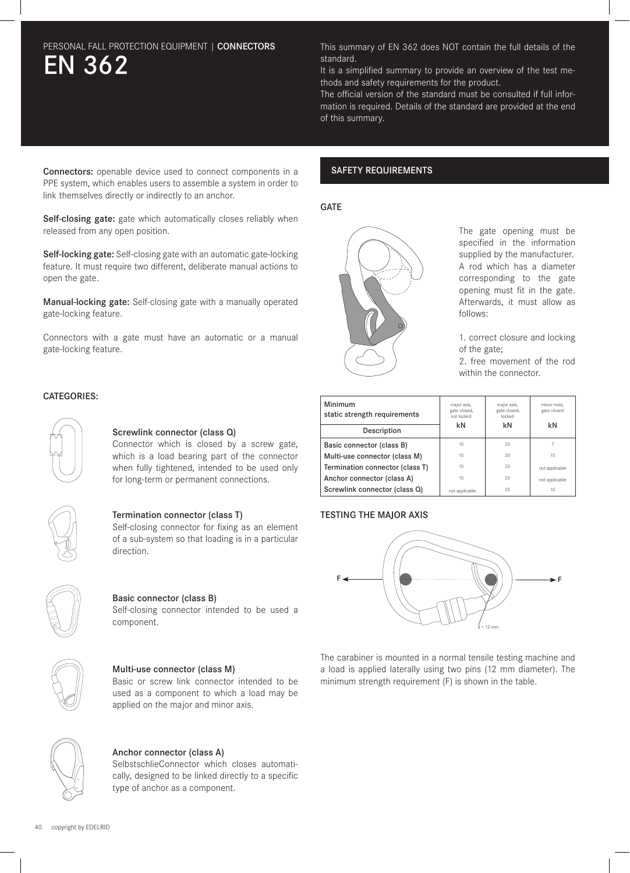# EN 362 PERSONAL FALL PROTECTION EQUIPMENT | CONNECTORS This summary of EN 362 does NOT contain the full details of the

standard.

It is a simplified summary to provide an overview of the test methods and safety requirements for the product.

The official version of the standard must be consulted if full information is required. Details of the standard are provided at the end of this summary.

Connectors: openable device used to connect components in a PPE system, which enables users to assemble a system in order to link themselves directly or indirectly to an anchor.

Self-closing gate: gate which automatically closes reliably when released from any open position.

Self-locking gate: Self-closing gate with an automatic gate-locking feature. It must require two different, deliberate manual actions to open the gate.

Manual-locking gate: Self-closing gate with a manually operated gate-locking feature.

Connectors with a gate must have an automatic or a manual gate-locking feature.

#### CATEGORIES:



#### Screwlink connector (class Q)

Connector which is closed by a screw gate, which is a load bearing part of the connector when fully tightened, intended to be used only for long-term or permanent connections.



#### Termination connector (class T)

Self-closing connector for fixing as an element of a sub-system so that loading is in a particular direction.



#### Basic connector (class B)

Self-closing connector intended to be used a component.



#### Multi-use connector (class M)

Basic or screw link connector intended to be used as a component to which a load may be applied on the major and minor axis.



#### Anchor connector (class A)

SelbstschlieConnector which closes automatically, designed to be linked directly to a specific type of anchor as a component.

#### SAFETY REQUIREMENTS

#### **GATE**



The gate opening must be specified in the information supplied by the manufacturer. A rod which has a diameter corresponding to the gate opening must fit in the gate. Afterwards, it must allow as follows:

1. correct closure and locking of the gate;

2. free movement of the rod within the connector.

| Minimum<br>static strength requirements | major axis,<br>gate closed,<br>not locked | major axis,<br>gate closed,<br>locked | minor mxis.<br>gate closed |
|-----------------------------------------|-------------------------------------------|---------------------------------------|----------------------------|
| Description                             | kN                                        | kN                                    | kN                         |
| Basic connector (class B)               | 15                                        | 20                                    | 7                          |
| Multi-use connector (class M)           | 15                                        | 20                                    | 15                         |
| Termination connector (class T)         | 15                                        | 20                                    | not applicable             |
| Anchor connector (class A)              | 15                                        | 20                                    | not applicable             |
| Screwlink connector (class Q)           | not applicable                            | 25                                    | 10                         |

#### TESTING THE MAJOR AXIS



The carabiner is mounted in a normal tensile testing machine and a load is applied laterally using two pins (12 mm diameter). The minimum strength requirement (F) is shown in the table.